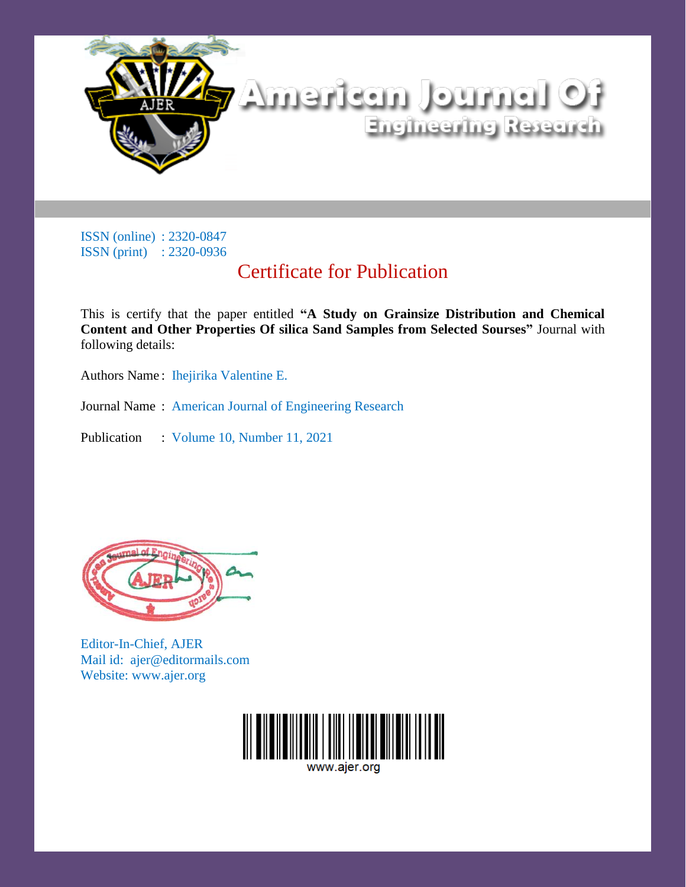

# Certificate for Publication

This is certify that the paper entitled **"A Study on Grainsize Distribution and Chemical Content and Other Properties Of silica Sand Samples from Selected Sourses"** Journal with following details:

Authors Name: Ihejirika Valentine E.

Journal Name : American Journal of Engineering Research

Publication : Volume 10, Number 11, 2021



Editor-In-Chief, AJER Mail id: ajer@editormails.com Website: www.ajer.org

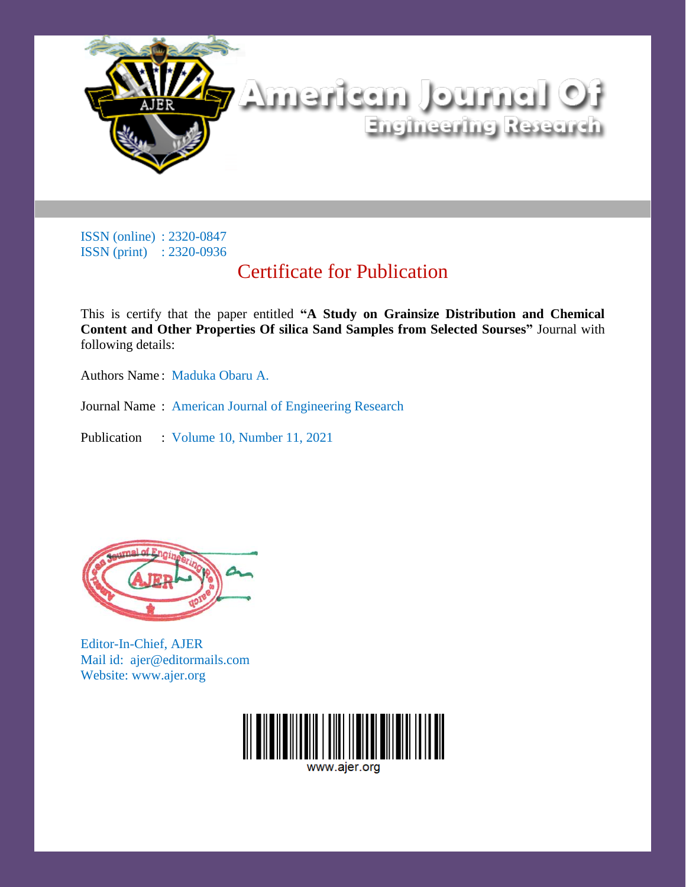

# Certificate for Publication

This is certify that the paper entitled **"A Study on Grainsize Distribution and Chemical Content and Other Properties Of silica Sand Samples from Selected Sourses"** Journal with following details:

Authors Name : Maduka Obaru A.

Journal Name : American Journal of Engineering Research

Publication : Volume 10, Number 11, 2021



Editor-In-Chief, AJER Mail id: ajer@editormails.com Website: www.ajer.org

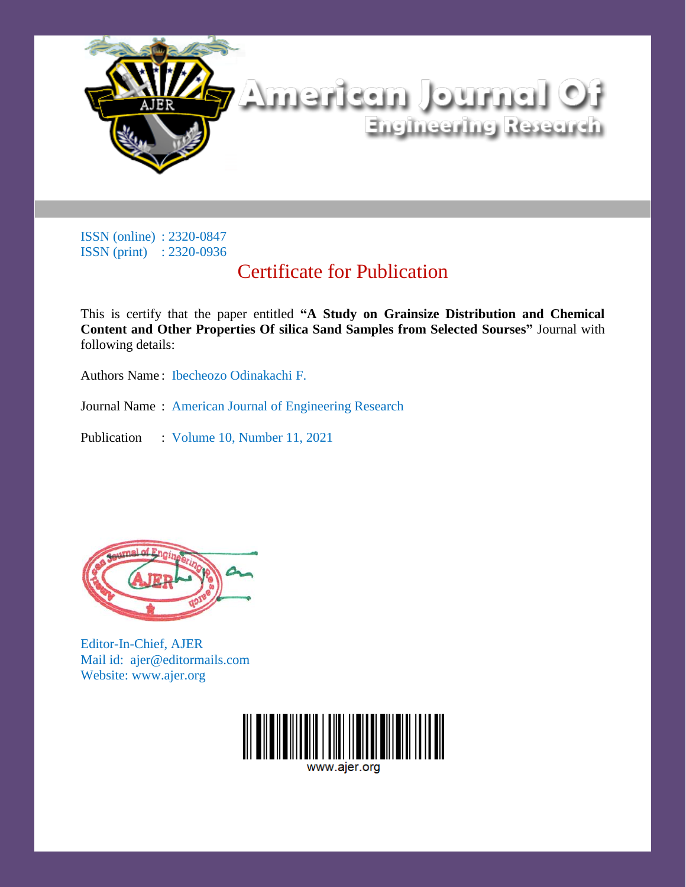

# Certificate for Publication

This is certify that the paper entitled **"A Study on Grainsize Distribution and Chemical Content and Other Properties Of silica Sand Samples from Selected Sourses"** Journal with following details:

Authors Name : Ibecheozo Odinakachi F.

Journal Name : American Journal of Engineering Research

Publication : Volume 10, Number 11, 2021



Editor-In-Chief, AJER Mail id: ajer@editormails.com Website: www.ajer.org

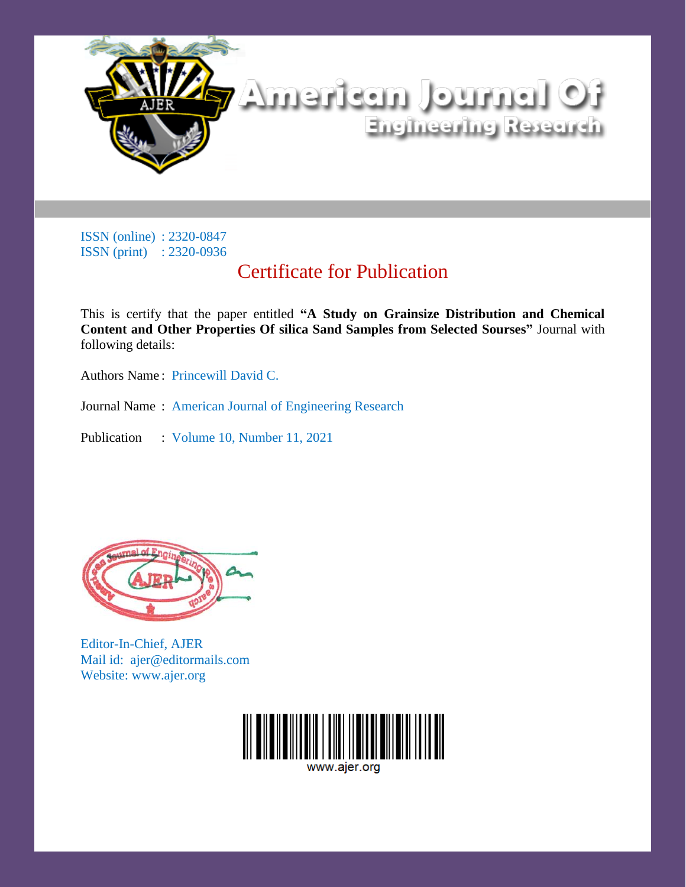

# Certificate for Publication

This is certify that the paper entitled **"A Study on Grainsize Distribution and Chemical Content and Other Properties Of silica Sand Samples from Selected Sourses"** Journal with following details:

Authors Name : Princewill David C.

Journal Name : American Journal of Engineering Research

Publication : Volume 10, Number 11, 2021



Editor-In-Chief, AJER Mail id: ajer@editormails.com Website: www.ajer.org